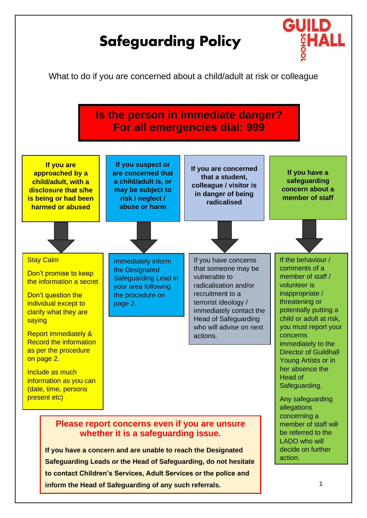

**inform the Head of Safeguarding of any such referrals.**

1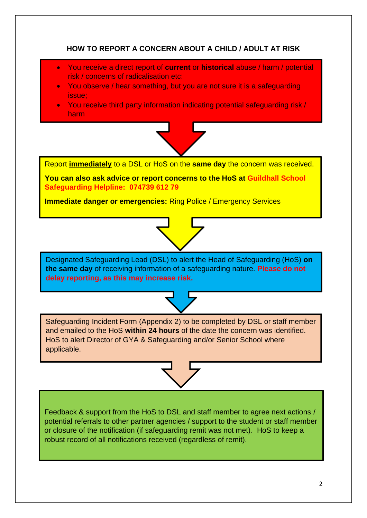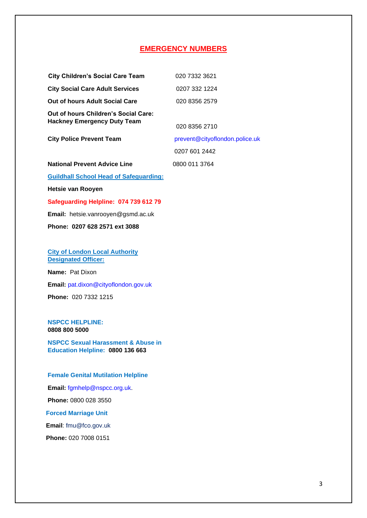# **EMERGENCY NUMBERS**

| <b>City Children's Social Care Team</b>       | 020 7332 3621                  |
|-----------------------------------------------|--------------------------------|
| <b>City Social Care Adult Services</b>        | 0207 332 1224                  |
| Out of hours Adult Social Care                | 020 8356 2579                  |
| Out of hours Children's Social Care:          |                                |
| <b>Hackney Emergency Duty Team</b>            | 020 8356 2710                  |
| <b>City Police Prevent Team</b>               | prevent@cityoflondon.police.uk |
|                                               | 0207 601 2442                  |
| <b>National Prevent Advice Line</b>           | 0800 011 3764                  |
| <b>Guildhall School Head of Safeguarding:</b> |                                |

**Hetsie van Rooyen** 

# **Safeguarding Helpline: 074 739 612 79**

**Email:** [hetsie.vanrooyen@gsmd.ac.uk](mailto:hetsie.vanrooyen@gsmd.ac.uk)

**Phone: 0207 628 2571 ext 3088** 

### **City of London Local Authority Designated Officer:**

**Name:** Pat Dixon **Email:** [pat.dixon@cityoflondon.gov.uk](mailto:pat.dixon@cityoflondon.gov.uk) **Phone:** 020 7332 1215

### **NSPCC HELPLINE: 0808 800 5000**

**NSPCC Sexual Harassment & Abuse in Education Helpline: 0800 136 663**

#### **Female Genital Mutilation Helpline**

**Email:** [fgmhelp@nspcc.org.uk.](mailto:fgmhelp@nspcc.org.uk)

**Phone:** 0800 028 3550

**Forced Marriage Unit**

**Email**: [fmu@fco.gov.uk](mailto:fmu@fco.gov.uk)

**Phone:** 020 7008 0151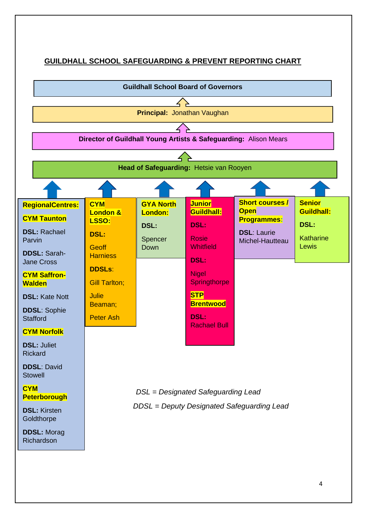# **GUILDHALL SCHOOL SAFEGUARDING & PREVENT REPORTING CHART**

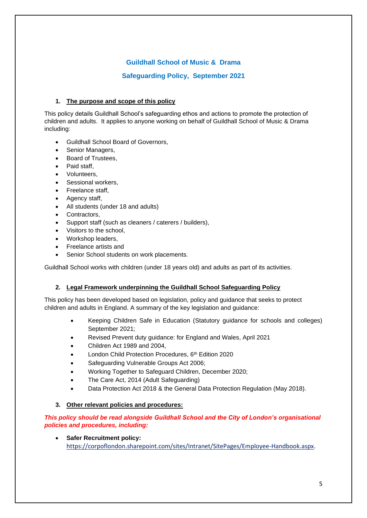# **Guildhall School of Music & Drama**

# **Safeguarding Policy, September 2021**

# **1. The purpose and scope of this policy**

This policy details Guildhall School's safeguarding ethos and actions to promote the protection of children and adults. It applies to anyone working on behalf of Guildhall School of Music & Drama including:

- Guildhall School Board of Governors,
- Senior Managers,
- Board of Trustees,
- Paid staff
- Volunteers,
- Sessional workers,
- Freelance staff,
- Agency staff,
- All students (under 18 and adults)
- Contractors.
- Support staff (such as cleaners / caterers / builders),
- Visitors to the school,
- Workshop leaders,
- Freelance artists and
- Senior School students on work placements.

Guildhall School works with children (under 18 years old) and adults as part of its activities.

# **2. Legal Framework underpinning the Guildhall School Safeguarding Policy**

This policy has been developed based on legislation, policy and guidance that seeks to protect children and adults in England. A summary of the key legislation and guidance:

- Keeping Children Safe in Education (Statutory guidance for schools and colleges) September 2021;
- Revised Prevent duty guidance: for England and Wales, April 2021
- Children Act 1989 and 2004,
- London Child Protection Procedures, 6<sup>th</sup> Edition 2020
- Safeguarding Vulnerable Groups Act 2006;
- Working Together to Safeguard Children, December 2020;
- The Care Act, 2014 (Adult Safeguarding)
- Data Protection Act 2018 & the General Data Protection Regulation (May 2018).

# **3. Other relevant policies and procedures:**

# *This policy should be read alongside Guildhall School and the City of London's organisational policies and procedures, including:*

• **Safer Recruitment policy:**  [https://corpoflondon.sharepoint.com/sites/Intranet/SitePages/Employee-Handbook.aspx.](https://corpoflondon.sharepoint.com/sites/Intranet/SitePages/Employee-Handbook.aspx)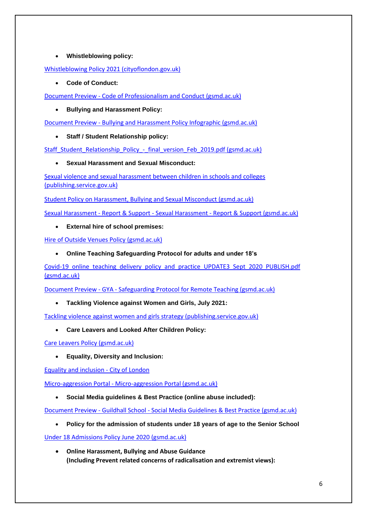# • **Whistleblowing policy:**

[Whistleblowing Policy 2021 \(cityoflondon.gov.uk\)](https://www.cityoflondon.gov.uk/assets/About-us/whistleblowing-policy-2021.pdf)

• **Code of Conduct:**

Document Preview - [Code of Professionalism and Conduct \(gsmd.ac.uk\)](https://myguildhall.gsmd.ac.uk/documents/sppreview/8ef13c49-691e-4625-a0e1-e726bdbd6f31)

• **Bullying and Harassment Policy:**

Document Preview - [Bullying and Harassment Policy Infographic \(gsmd.ac.uk\)](https://myguildhall.gsmd.ac.uk/documents/sppreview/90831d3d-bd9c-4026-ab04-959beeb30dfb)

• **Staff / Student Relationship policy:**

[Staff\\_Student\\_Relationship\\_Policy\\_-\\_final\\_version\\_Feb\\_2019.pdf \(gsmd.ac.uk\)](https://www.gsmd.ac.uk/fileadmin/user_upload/files/Policies_and_Reports/Staff_Student_Relationship_Policy_-_final_version_Feb_2019.pdf)

# • **Sexual Harassment and Sexual Misconduct:**

[Sexual violence and sexual harassment between children in schools and colleges](https://assets.publishing.service.gov.uk/government/uploads/system/uploads/attachment_data/file/719902/Sexual_violence_and_sexual_harassment_between_children_in_schools_and_colleges.pdf)  [\(publishing.service.gov.uk\)](https://assets.publishing.service.gov.uk/government/uploads/system/uploads/attachment_data/file/719902/Sexual_violence_and_sexual_harassment_between_children_in_schools_and_colleges.pdf)

[Student Policy on Harassment, Bullying and Sexual Misconduct \(gsmd.ac.uk\)](https://www.gsmd.ac.uk/fileadmin/user_upload/Registry/2020-21/Policies/Bullying_and_Harassment__Student_Policy__Sept_2019.pdf)

Sexual Harassment - Report & Support - Sexual Harassment - [Report & Support \(gsmd.ac.uk\)](https://myguildhall.gsmd.ac.uk/sites/sexual-harassment-report-support)

• **External hire of school premises:** 

[Hire of Outside Venues Policy \(gsmd.ac.uk\)](https://www.gsmd.ac.uk/fileadmin/user_upload/Registry/2020-21/Policies/Hire_of_Outside_Venues_Policy_Feb_2018.pdf)

• **Online Teaching Safeguarding Protocol for adults and under 18's**

[Covid-19\\_online\\_teaching\\_delivery\\_policy\\_and\\_practice\\_UPDATE3\\_Sept\\_2020\\_PUBLISH.pdf](https://www.gsmd.ac.uk/fileadmin/user_upload/Registry/2020-21/Policies/Covid-19_online_teaching_delivery_policy_and_practice_UPDATE3_Sept_2020_PUBLISH.pdf)  [\(gsmd.ac.uk\)](https://www.gsmd.ac.uk/fileadmin/user_upload/Registry/2020-21/Policies/Covid-19_online_teaching_delivery_policy_and_practice_UPDATE3_Sept_2020_PUBLISH.pdf)

Document Preview - GYA - [Safeguarding Protocol for Remote Teaching \(gsmd.ac.uk\)](https://myguildhall.gsmd.ac.uk/documents/sppreview/3bedeada-3520-4bba-a5ff-33dfb82bc8fa)

• **Tackling Violence against Women and Girls, July 2021:**

[Tackling violence against women and girls strategy \(publishing.service.gov.uk\)](https://assets.publishing.service.gov.uk/government/uploads/system/uploads/attachment_data/file/1005074/Tackling_Violence_Against_Women_and_Girls_Strategy_-_July_2021.pdf)

• **Care Leavers and Looked After Children Policy:**

[Care Leavers Policy \(gsmd.ac.uk\)](https://www.gsmd.ac.uk/fileadmin/user_upload/Registry/2020-21/Policies/Care_Leavers_policy_January_2018.pdf)

• **Equality, Diversity and Inclusion:**

[Equality and inclusion -](https://www.cityoflondon.gov.uk/about-us/plans-policies/equality-inclusion) City of London

Micro-aggression Portal - [Micro-aggression Portal \(gsmd.ac.uk\)](https://myguildhall.gsmd.ac.uk/sites/micro-aggression-portal)

• **Social Media guidelines & Best Practice (online abuse included):**

Document Preview - Guildhall School - [Social Media Guidelines & Best Practice \(gsmd.ac.uk\)](https://myguildhall.gsmd.ac.uk/documents/sppreview/60f62b56-0675-4fee-b5a0-21c7242a6bcc)

• **Policy for the admission of students under 18 years of age to the Senior School**

[Under 18 Admissions Policy June 2020 \(gsmd.ac.uk\)](https://www.gsmd.ac.uk/fileadmin/user_upload/Registry/2020-21/Policies/Under_18_Admissions_Policy_June_2020.pdf)

• **Online Harassment, Bullying and Abuse Guidance (Including Prevent related concerns of radicalisation and extremist views):**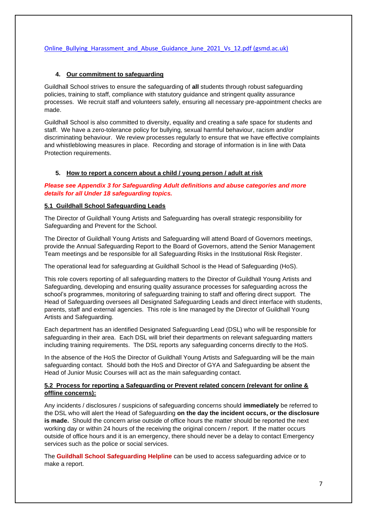# [Online\\_Bullying\\_Harassment\\_and\\_Abuse\\_Guidance\\_June\\_2021\\_Vs\\_12.pdf \(gsmd.ac.uk\)](https://www.gsmd.ac.uk/fileadmin/user_upload/Registry/2021-22/Policies/Online_Bullying_Harassment_and_Abuse_Guidance_June_2021_Vs_12.pdf)

# **4. Our commitment to safeguarding**

Guildhall School strives to ensure the safeguarding of **all** students through robust safeguarding policies, training to staff, compliance with statutory guidance and stringent quality assurance processes. We recruit staff and volunteers safely, ensuring all necessary pre-appointment checks are made.

Guildhall School is also committed to diversity, equality and creating a safe space for students and staff. We have a zero-tolerance policy for bullying, sexual harmful behaviour, racism and/or discriminating behaviour. We review processes regularly to ensure that we have effective complaints and whistleblowing measures in place. Recording and storage of information is in line with Data Protection requirements.

# **5. How to report a concern about a child / young person / adult at risk**

# *Please see Appendix 3 for Safeguarding Adult definitions and abuse categories and more details for all Under 18 safeguarding topics.*

# **5.1 Guildhall School Safeguarding Leads**

The Director of Guildhall Young Artists and Safeguarding has overall strategic responsibility for Safeguarding and Prevent for the School.

The Director of Guildhall Young Artists and Safeguarding will attend Board of Governors meetings, provide the Annual Safeguarding Report to the Board of Governors, attend the Senior Management Team meetings and be responsible for all Safeguarding Risks in the Institutional Risk Register.

The operational lead for safeguarding at Guildhall School is the Head of Safeguarding (HoS).

This role covers reporting of all safeguarding matters to the Director of Guildhall Young Artists and Safeguarding, developing and ensuring quality assurance processes for safeguarding across the school's programmes, monitoring of safeguarding training to staff and offering direct support. The Head of Safeguarding oversees all Designated Safeguarding Leads and direct interface with students, parents, staff and external agencies. This role is line managed by the Director of Guildhall Young Artists and Safeguarding.

Each department has an identified Designated Safeguarding Lead (DSL) who will be responsible for safeguarding in their area. Each DSL will brief their departments on relevant safeguarding matters including training requirements. The DSL reports any safeguarding concerns directly to the HoS.

In the absence of the HoS the Director of Guildhall Young Artists and Safeguarding will be the main safeguarding contact. Should both the HoS and Director of GYA and Safeguarding be absent the Head of Junior Music Courses will act as the main safeguarding contact.

# **5.2 Process for reporting a Safeguarding or Prevent related concern (relevant for online & offline concerns):**

Any incidents / disclosures / suspicions of safeguarding concerns should **immediately** be referred to the DSL who will alert the Head of Safeguarding **on the day the incident occurs, or the disclosure is made.** Should the concern arise outside of office hours the matter should be reported the next working day or within 24 hours of the receiving the original concern / report. If the matter occurs outside of office hours and it is an emergency, there should never be a delay to contact Emergency services such as the police or social services.

The **Guildhall School Safeguarding Helpline** can be used to access safeguarding advice or to make a report.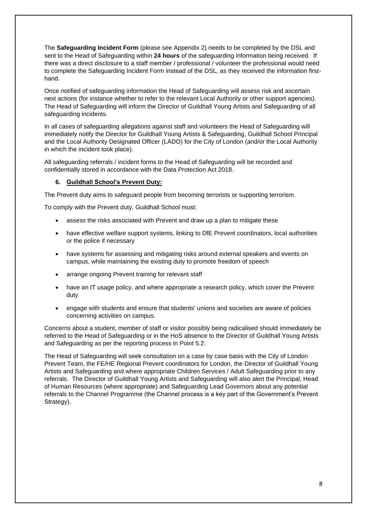The **Safeguarding Incident Form** (please see Appendix 2) needs to be completed by the DSL and sent to the Head of Safeguarding within **24 hours** of the safeguarding information being received. If there was a direct disclosure to a staff member / professional / volunteer the professional would need to complete the Safeguarding Incident Form instead of the DSL, as they received the information firsthand.

Once notified of safeguarding information the Head of Safeguarding will assess risk and ascertain next actions (for instance whether to refer to the relevant Local Authority or other support agencies). The Head of Safeguarding will inform the Director of Guildhall Young Artists and Safeguarding of all safeguarding incidents.

In all cases of safeguarding allegations against staff and volunteers the Head of Safeguarding will immediately notify the Director for Guildhall Young Artists & Safeguarding, Guildhall School Principal and the Local Authority Designated Officer (LADO) for the City of London (and/or the Local Authority in which the incident took place).

All safeguarding referrals / incident forms to the Head of Safeguarding will be recorded and confidentially stored in accordance with the Data Protection Act 2018.

# **6. Guildhall School's Prevent Duty:**

The Prevent duty aims to safeguard people from becoming terrorists or supporting terrorism.

To comply with the Prevent duty, Guildhall School must:

- assess the risks associated with Prevent and draw up a plan to mitigate these
- have effective welfare support systems, linking to DfE Prevent coordinators, local authorities or the police if necessary
- have systems for assessing and mitigating risks around external speakers and events on campus, while maintaining the existing duty to promote freedom of speech
- arrange ongoing Prevent training for relevant staff
- have an IT usage policy, and where appropriate a research policy, which cover the Prevent duty
- engage with students and ensure that students' unions and societies are aware of policies concerning activities on campus.

Concerns about a student, member of staff or visitor possibly being radicalised should immediately be referred to the Head of Safeguarding or in the HoS absence to the Director of Guildhall Young Artists and Safeguarding as per the reporting process in Point 5.2.

The Head of Safeguarding will seek consultation on a case by case basis with the City of London Prevent Team, the FE/HE Regional Prevent coordinators for London, the Director of Guildhall Young Artists and Safeguarding and where appropriate Children Services / Adult Safeguarding prior to any referrals. The Director of Guildhall Young Artists and Safeguarding will also alert the Principal; Head of Human Resources (where appropriate) and Safeguarding Lead Governors about any potential referrals to the Channel Programme (the Channel process is a key part of the Government's Prevent Strategy).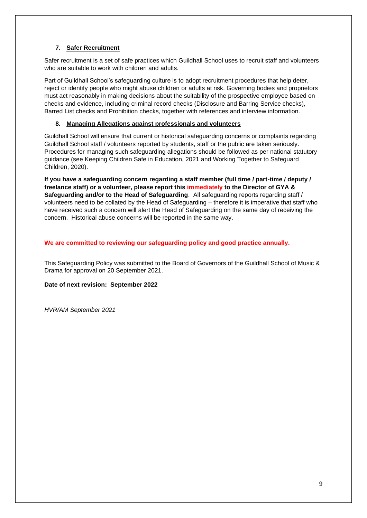# **7. Safer Recruitment**

Safer recruitment is a set of safe practices which Guildhall School uses to recruit staff and volunteers who are suitable to work with children and adults.

Part of Guildhall School's safeguarding culture is to adopt recruitment procedures that help deter, reject or identify people who might abuse children or adults at risk. Governing bodies and proprietors must act reasonably in making decisions about the suitability of the prospective employee based on checks and evidence, including criminal record checks (Disclosure and Barring Service checks), Barred List checks and Prohibition checks, together with references and interview information.

# **8. Managing Allegations against professionals and volunteers**

Guildhall School will ensure that current or historical safeguarding concerns or complaints regarding Guildhall School staff / volunteers reported by students, staff or the public are taken seriously. Procedures for managing such safeguarding allegations should be followed as per national statutory guidance (see Keeping Children Safe in Education, 2021 and Working Together to Safeguard Children, 2020).

**If you have a safeguarding concern regarding a staff member (full time / part-time / deputy / freelance staff) or a volunteer, please report this immediately to the Director of GYA & Safeguarding and/or to the Head of Safeguarding**. All safeguarding reports regarding staff / volunteers need to be collated by the Head of Safeguarding – therefore it is imperative that staff who have received such a concern will alert the Head of Safeguarding on the same day of receiving the concern. Historical abuse concerns will be reported in the same way.

# **We are committed to reviewing our safeguarding policy and good practice annually.**

This Safeguarding Policy was submitted to the Board of Governors of the Guildhall School of Music & Drama for approval on 20 September 2021.

**Date of next revision: September 2022**

*HVR/AM September 2021*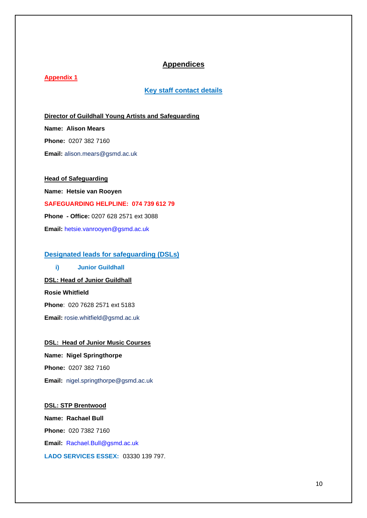# **Appendices**

# **Appendix 1**

# **Key staff contact details**

**Director of Guildhall Young Artists and Safeguarding Name: Alison Mears Phone:** 0207 382 7160 **Email:** alison.mears@gsmd.ac.uk

**Head of Safeguarding Name: Hetsie van Rooyen SAFEGUARDING HELPLINE: 074 739 612 79 Phone - Office:** 0207 628 2571 ext 3088 **Email:** [hetsie.vanrooyen@gsmd.ac.uk](mailto:hetsie.vanrooyen@gsmd.ac.uk)

# **Designated leads for safeguarding (DSLs)**

**i) Junior Guildhall DSL: Head of Junior Guildhall**

**Rosie Whitfield**

**Phone**: 020 7628 2571 ext 5183

**Email:** rosie.whitfield@gsmd.ac.uk

**DSL: Head of Junior Music Courses Name: Nigel Springthorpe Phone:** 0207 382 7160 **Email:** nigel.springthorpe@gsmd.ac.uk

**DSL: STP Brentwood Name: Rachael Bull Phone:** 020 7382 7160 **Email:** [Rachael.Bull@gsmd.ac.uk](mailto:Rachael.Bull@gsmd.ac.uk) **LADO SERVICES ESSEX:** 03330 139 797.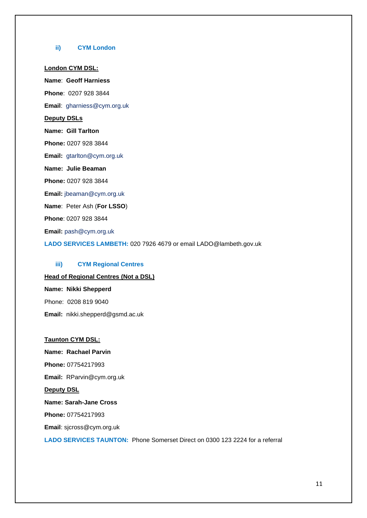#### **ii) CYM London**

#### **London CYM DSL:**

**Name**: **Geoff Harniess Phone**: 0207 928 3844 **Email**: gharniess@cym.org.uk

**Deputy DSLs**

**Name: Gill Tarlton**

**Phone:** 0207 928 3844

**Email:** [gtarlton@cym.org.uk](mailto:gtarlton@cym.org.uk)

**Name: Julie Beaman**

**Phone:** 0207 928 3844

**Email:** [jbeaman@cym.org.uk](mailto:jbeaman@cym.org.uk)

**Name**: Peter Ash (**For LSSO**)

**Phone**: 0207 928 3844

**Email:** pash@cym.org.uk

**LADO SERVICES LAMBETH:** 020 7926 4679 or email LADO@lambeth.gov.uk

### **iii) CYM Regional Centres**

# **Head of Regional Centres (Not a DSL) Name: Nikki Shepperd**

Phone: 0208 819 9040

**Email:** nikki.shepperd@gsmd.ac.uk

# **Taunton CYM DSL:**

**Name: Rachael Parvin Phone:** 07754217993 **Email:** RParvin@cym.org.uk **Deputy DSL Name: Sarah-Jane Cross Phone:** 07754217993 **Email**: sjcross@cym.org.uk

**LADO SERVICES TAUNTON:** Phone Somerset Direct on 0300 123 2224 for a referral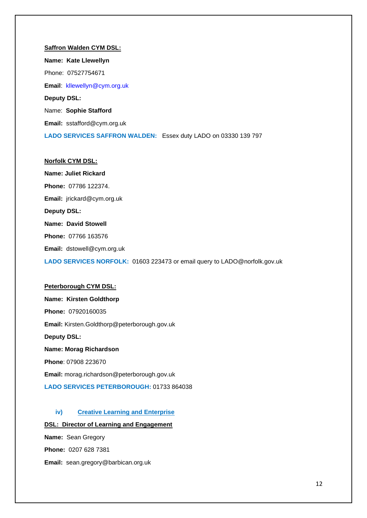**Saffron Walden CYM DSL: Name: Kate Llewellyn** Phone: 07527754671 **Email**: [kllewellyn@cym.org.uk](mailto:kllewellyn@cym.org.uk) **Deputy DSL:** Name: **Sophie Stafford Email:** sstafford@cym.org.uk **LADO SERVICES SAFFRON WALDEN:** Essex duty LADO on 03330 139 797

**Name: Juliet Rickard Phone:** 07786 122374. **Email:** jrickard@cym.org.uk **Deputy DSL: Name: David Stowell Phone:** 07766 163576 **Email:** dstowell@cym.org.uk **LADO SERVICES NORFOLK:** 01603 223473 or email query to LADO@norfolk.gov.uk

#### **Peterborough CYM DSL:**

**Norfolk CYM DSL:**

**Name: Kirsten Goldthorp Phone:** 07920160035 **Email:** Kirsten.Goldthorp@peterborough.gov.uk **Deputy DSL: Name: Morag Richardson Phone**: 07908 223670 **Email:** morag.richardson@peterborough.gov.uk **LADO SERVICES PETERBOROUGH:** 01733 864038

# **iv) Creative Learning and Enterprise**

#### **DSL: Director of Learning and Engagement**

**Name:** Sean Gregory **Phone:** 0207 628 7381 **Email:** sean.gregory@barbican.org.uk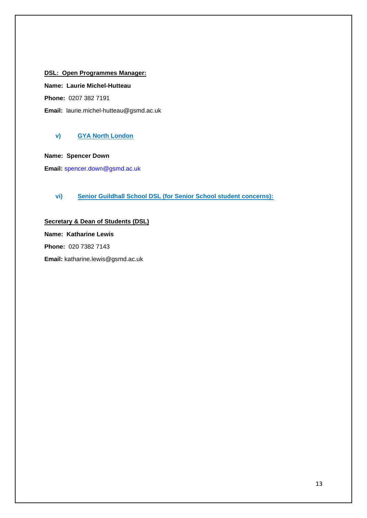# **DSL: Open Programmes Manager:**

**Name: Laurie Michel-Hutteau**

**Phone:** 0207 382 7191

**Email:** laurie.michel-hutteau@gsmd.ac.uk

# **v) GYA North London**

**Name: Spencer Down**

**Email:** [spencer.down@gsmd.ac.uk](mailto:spencer.down@gsmd.ac.uk)

# **vi) Senior Guildhall School DSL (for Senior School student concerns):**

**Secretary & Dean of Students (DSL) Name: Katharine Lewis Phone:** 020 7382 7143 **Email:** katharine.lewis@gsmd.ac.uk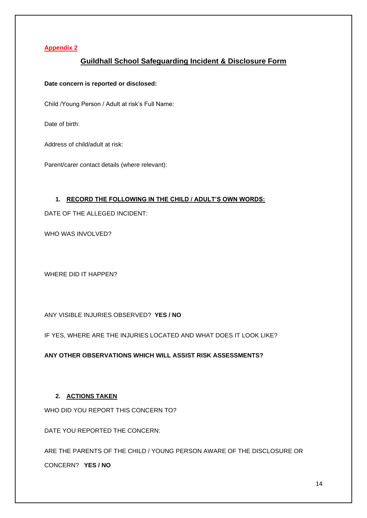# **Appendix 2**

# **Guildhall School Safeguarding Incident & Disclosure Form**

**Date concern is reported or disclosed:** 

Child /Young Person / Adult at risk's Full Name:

Date of birth:

Address of child/adult at risk:

Parent/carer contact details (where relevant):

# **1. RECORD THE FOLLOWING IN THE CHILD / ADULT'S OWN WORDS:**

DATE OF THE ALLEGED INCIDENT:

WHO WAS INVOLVED?

WHERE DID IT HAPPEN?

ANY VISIBLE INJURIES OBSERVED? **YES / NO**

IF YES, WHERE ARE THE INJURIES LOCATED AND WHAT DOES IT LOOK LIKE?

**ANY OTHER OBSERVATIONS WHICH WILL ASSIST RISK ASSESSMENTS?**

# **2. ACTIONS TAKEN**

WHO DID YOU REPORT THIS CONCERN TO?

DATE YOU REPORTED THE CONCERN:

ARE THE PARENTS OF THE CHILD / YOUNG PERSON AWARE OF THE DISCLOSURE OR

CONCERN? **YES / NO**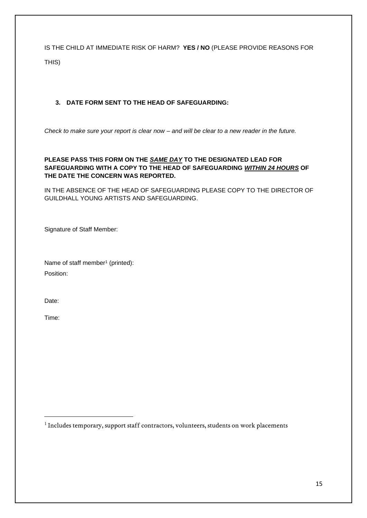IS THE CHILD AT IMMEDIATE RISK OF HARM? **YES / NO** (PLEASE PROVIDE REASONS FOR THIS)

# **3. DATE FORM SENT TO THE HEAD OF SAFEGUARDING:**

*Check to make sure your report is clear now – and will be clear to a new reader in the future.*

# **PLEASE PASS THIS FORM ON THE** *SAME DAY* **TO THE DESIGNATED LEAD FOR SAFEGUARDING WITH A COPY TO THE HEAD OF SAFEGUARDING** *WITHIN 24 HOURS* **OF THE DATE THE CONCERN WAS REPORTED.**

IN THE ABSENCE OF THE HEAD OF SAFEGUARDING PLEASE COPY TO THE DIRECTOR OF GUILDHALL YOUNG ARTISTS AND SAFEGUARDING.

Signature of Staff Member:

Name of staff member<sup>1</sup> (printed): Position:

Date:

Time:

<sup>1</sup> Includes temporary, support staff contractors, volunteers, students on work placements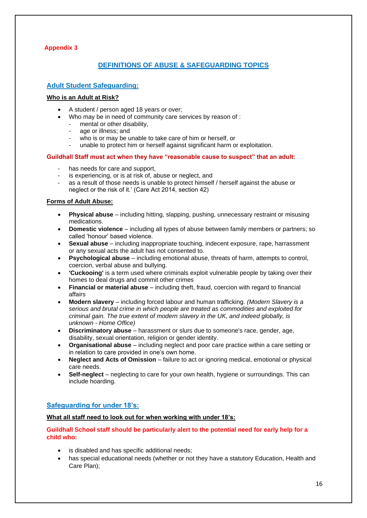# **Appendix 3**

# **DEFINITIONS OF ABUSE & SAFEGUARDING TOPICS**

# **Adult Student Safeguarding:**

# **Who is an Adult at Risk?**

- A student / person aged 18 years or over;
	- Who may be in need of community care services by reason of :
	- mental or other disability.
	- age or illness; and
	- who is or may be unable to take care of him or herself, or
	- unable to protect him or herself against significant harm or exploitation.

#### **Guildhall Staff must act when they have "reasonable cause to suspect" that an adult:**

- has needs for care and support,
- is experiencing, or is at risk of, abuse or neglect, and
- as a result of those needs is unable to protect himself / herself against the abuse or neglect or the risk of it.' (Care Act 2014, section 42)

#### **Forms of Adult Abuse:**

- **Physical abuse** including hitting, slapping, pushing, unnecessary restraint or misusing medications.
- **Domestic violence** including all types of abuse between family members or partners; so called 'honour' based violence.
- **Sexual abuse** including inappropriate touching, indecent exposure, rape, harrassment or any sexual acts the adult has not consented to.
- **Psychological abuse** including emotional abuse, threats of harm, attempts to control, coercion, verbal abuse and bullying.
- **'Cuckooing'** is a term used where criminals exploit vulnerable people by taking over their homes to deal drugs and commit other crimes
- **Financial or material abuse** including theft, fraud, coercion with regard to financial affairs
- **Modern slavery** including forced labour and human trafficking. *(Modern Slavery is a serious and brutal crime in which people are treated as commodities and exploited for criminal gain. The true extent of modern slavery in the UK, and indeed globally, is unknown - Home Office)*
- **Discriminatory abuse** harassment or slurs due to someone's race, gender, age, disability, sexual orientation, religion or gender identity.
- **Organisational abuse** including neglect and poor care practice within a care setting or in relation to care provided in one's own home.
- **Neglect and Acts of Omission** failure to act or ignoring medical, emotional or physical care needs.
- **Self-neglect** neglecting to care for your own health, hygiene or surroundings. This can include hoarding.

# **Safeguarding for under 18's:**

# **What all staff need to look out for when working with under 18's:**

# **Guildhall School staff should be particularly alert to the potential need for early help for a child who:**

- is disabled and has specific additional needs;
- has special educational needs (whether or not they have a statutory Education, Health and Care Plan);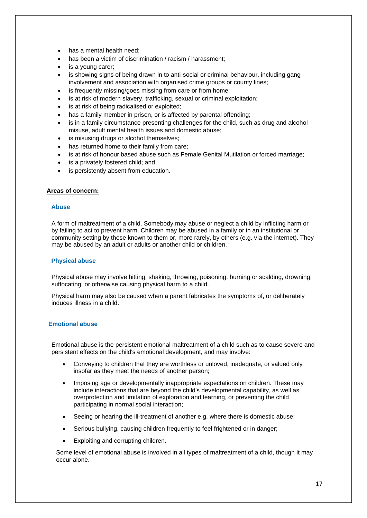- has a mental health need:
- has been a victim of discrimination / racism / harassment:
- is a voung carer:
- is showing signs of being drawn in to anti-social or criminal behaviour, including gang involvement and association with organised crime groups or county lines;
- is frequently missing/goes missing from care or from home;
- is at risk of modern slavery, trafficking, sexual or criminal exploitation;
- is at risk of being radicalised or exploited;
- has a family member in prison, or is affected by parental offending;
- is in a family circumstance presenting challenges for the child, such as drug and alcohol misuse, adult mental health issues and domestic abuse;
- is misusing drugs or alcohol themselves;
- has returned home to their family from care;
- is at risk of honour based abuse such as Female Genital Mutilation or forced marriage;
- is a privately fostered child; and
- is persistently absent from education.

#### **Areas of concern:**

#### **Abuse**

A form of maltreatment of a child. Somebody may abuse or neglect a child by inflicting harm or by failing to act to prevent harm. Children may be abused in a family or in an institutional or community setting by those known to them or, more rarely, by others (e.g. via the internet). They may be abused by an adult or adults or another child or children.

#### **Physical abuse**

Physical abuse may involve hitting, shaking, throwing, poisoning, burning or scalding, drowning, suffocating, or otherwise causing physical harm to a child.

Physical harm may also be caused when a parent fabricates the symptoms of, or deliberately induces illness in a child.

### **Emotional abuse**

Emotional abuse is the persistent emotional maltreatment of a child such as to cause severe and persistent effects on the child's emotional development, and may involve:

- Conveying to children that they are worthless or unloved, inadequate, or valued only insofar as they meet the needs of another person;
- Imposing age or developmentally inappropriate expectations on children. These may include interactions that are beyond the child's developmental capability, as well as overprotection and limitation of exploration and learning, or preventing the child participating in normal social interaction;
- Seeing or hearing the ill-treatment of another e.g. where there is domestic abuse;
- Serious bullying, causing children frequently to feel frightened or in danger;
- Exploiting and corrupting children.

Some level of emotional abuse is involved in all types of maltreatment of a child, though it may occur alone.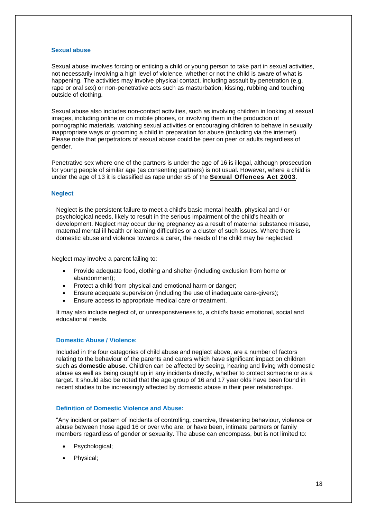#### **Sexual abuse**

Sexual abuse involves forcing or enticing a child or young person to take part in sexual activities, not necessarily involving a high level of violence, whether or not the child is aware of what is happening. The activities may involve physical contact, including assault by penetration (e.g. rape or oral sex) or non-penetrative acts such as masturbation, kissing, rubbing and touching outside of clothing.

Sexual abuse also includes non-contact activities, such as involving children in looking at sexual images, including online or on mobile phones, or involving them in the production of pornographic materials, watching sexual activities or encouraging children to behave in sexually inappropriate ways or grooming a child in preparation for abuse (including via the internet). Please note that perpetrators of sexual abuse could be peer on peer or adults regardless of gender.

Penetrative sex where one of the partners is under the age of 16 is illegal, although prosecution for young people of similar age (as consenting partners) is not usual. However, where a child is under the age of 13 it is classified as rape under s5 of the **[Sexual Offences Act 2003](http://www.legislation.gov.uk/ukpga/2003/42/contents)**.

#### **Neglect**

Neglect is the persistent failure to meet a child's basic mental health, physical and / or psychological needs, likely to result in the serious impairment of the child's health or development. Neglect may occur during pregnancy as a result of maternal substance misuse, maternal mental ill health or learning difficulties or a cluster of such issues. Where there is domestic abuse and violence towards a carer, the needs of the child may be neglected.

Neglect may involve a parent failing to:

- Provide adequate food, clothing and shelter (including exclusion from home or abandonment);
- Protect a child from physical and emotional harm or danger;
- Ensure adequate supervision (including the use of inadequate care-givers);
- Ensure access to appropriate medical care or treatment.

It may also include neglect of, or unresponsiveness to, a child's basic emotional, social and educational needs.

#### **Domestic Abuse / Violence:**

Included in the four categories of child abuse and neglect above, are a number of factors relating to the behaviour of the parents and carers which have significant impact on children such as **domestic abuse**. Children can be affected by seeing, hearing and living with domestic abuse as well as being caught up in any incidents directly, whether to protect someone or as a target. It should also be noted that the age group of 16 and 17 year olds have been found in recent studies to be increasingly affected by domestic abuse in their peer relationships.

#### **Definition of Domestic Violence and Abuse:**

"Any incident or pattern of incidents of controlling, coercive, threatening behaviour, violence or abuse between those aged 16 or over who are, or have been, intimate partners or family members regardless of gender or sexuality. The abuse can encompass, but is not limited to:

- Psychological;
- Physical;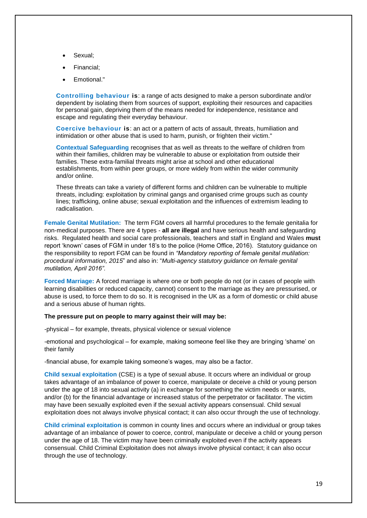- Sexual:
- Financial;
- Emotional."

**Controlling behaviour is**: a range of acts designed to make a person subordinate and/or dependent by isolating them from sources of support, exploiting their resources and capacities for personal gain, depriving them of the means needed for independence, resistance and escape and regulating their everyday behaviour.

**Coercive behaviour is**: an act or a pattern of acts of assault, threats, humiliation and intimidation or other abuse that is used to harm, punish, or frighten their victim."

**Contextual Safeguarding** recognises that as well as threats to the welfare of children from within their families, children may be vulnerable to abuse or exploitation from outside their families. These extra-familial threats might arise at school and other educational establishments, from within peer groups, or more widely from within the wider community and/or online.

These threats can take a variety of different forms and children can be vulnerable to multiple threats, including: exploitation by criminal gangs and organised crime groups such as county lines; trafficking, online abuse; sexual exploitation and the influences of extremism leading to radicalisation.

**Female Genital Mutilation:** The term FGM covers all harmful procedures to the female genitalia for non-medical purposes. There are 4 types - **all are illegal** and have serious health and safeguarding risks. Regulated health and social care professionals, teachers and staff in England and Wales **must**  report 'known' cases of FGM in under 18's to the police (Home Office, 2016). Statutory guidance on the responsibility to report FGM can be found in *"Mandatory reporting of female genital mutilation: procedural information, 2015*" and also in: "*Multi-agency statutory guidance on female genital mutilation, April 2016".*

**Forced Marriage:** A forced marriage is where one or both people do not (or in cases of people with learning disabilities or reduced capacity, cannot) consent to the marriage as they are pressurised, or abuse is used, to force them to do so. It is recognised in the UK as a form of domestic or child abuse and a serious abuse of human rights.

#### **The pressure put on people to marry against their will may be:**

-physical – for example, threats, physical violence or sexual violence

-emotional and psychological – for example, making someone feel like they are bringing 'shame' on their family

-financial abuse, for example taking someone's wages, may also be a factor.

**Child sexual exploitation** (CSE) is a type of sexual abuse. It occurs where an individual or group takes advantage of an imbalance of power to coerce, manipulate or deceive a child or young person under the age of 18 into sexual activity (a) in exchange for something the victim needs or wants, and/or (b) for the financial advantage or increased status of the perpetrator or facilitator. The victim may have been sexually exploited even if the sexual activity appears consensual. Child sexual exploitation does not always involve physical contact; it can also occur through the use of technology.

**Child criminal exploitation** is common in county lines and occurs where an individual or group takes advantage of an imbalance of power to coerce, control, manipulate or deceive a child or young person under the age of 18. The victim may have been criminally exploited even if the activity appears consensual. Child Criminal Exploitation does not always involve physical contact; it can also occur through the use of technology.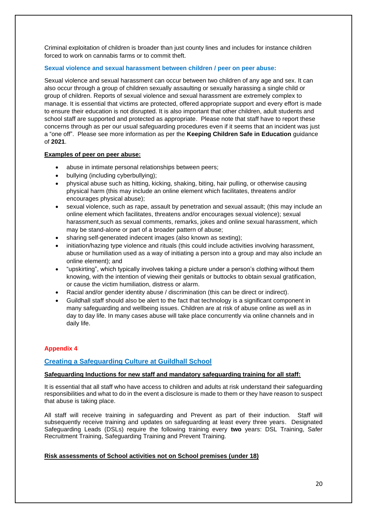Criminal exploitation of children is broader than just county lines and includes for instance children forced to work on cannabis farms or to commit theft.

#### **Sexual violence and sexual harassment between children / peer on peer abuse:**

Sexual violence and sexual harassment can occur between two children of any age and sex. It can also occur through a group of children sexually assaulting or sexually harassing a single child or group of children. Reports of sexual violence and sexual harassment are extremely complex to manage. It is essential that victims are protected, offered appropriate support and every effort is made to ensure their education is not disrupted. It is also important that other children, adult students and school staff are supported and protected as appropriate. Please note that staff have to report these concerns through as per our usual safeguarding procedures even if it seems that an incident was just a "one off". Please see more information as per the **Keeping Children Safe in Education** guidance of **2021**.

#### **Examples of peer on peer abuse:**

- abuse in intimate personal relationships between peers;
- bullying (including cyberbullying);
- physical abuse such as hitting, kicking, shaking, biting, hair pulling, or otherwise causing physical harm (this may include an online element which facilitates, threatens and/or encourages physical abuse);
- sexual violence, such as rape, assault by penetration and sexual assault; (this may include an online element which facilitates, threatens and/or encourages sexual violence); sexual harassment,such as sexual comments, remarks, jokes and online sexual harassment, which may be stand-alone or part of a broader pattern of abuse;
- sharing self-generated indecent images (also known as sexting);
- initiation/hazing type violence and rituals (this could include activities involving harassment, abuse or humiliation used as a way of initiating a person into a group and may also include an online element); and
- "upskirting", which typically involves taking a picture under a person's clothing without them knowing, with the intention of viewing their genitals or buttocks to obtain sexual gratification, or cause the victim humiliation, distress or alarm.
- Racial and/or gender identity abuse / discrimination (this can be direct or indirect).
- Guildhall staff should also be alert to the fact that technology is a significant component in many safeguarding and wellbeing issues. Children are at risk of abuse online as well as in day to day life. In many cases abuse will take place concurrently via online channels and in daily life.

# **Appendix 4**

# **Creating a Safeguarding Culture at Guildhall School**

# **Safeguarding Inductions for new staff and mandatory safeguarding training for all staff:**

It is essential that all staff who have access to children and adults at risk understand their safeguarding responsibilities and what to do in the event a disclosure is made to them or they have reason to suspect that abuse is taking place.

All staff will receive training in safeguarding and Prevent as part of their induction. Staff will subsequently receive training and updates on safeguarding at least every three years. Designated Safeguarding Leads (DSLs) require the following training every **two** years: DSL Training, Safer Recruitment Training, Safeguarding Training and Prevent Training.

#### **Risk assessments of School activities not on School premises (under 18)**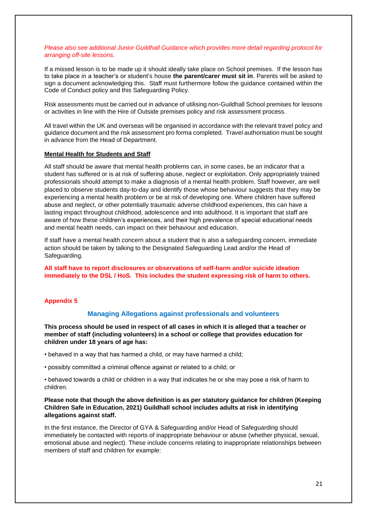#### *Please also see additional Junior Guildhall Guidance which provides more detail regarding protocol for arranging off-site lessons.*

If a missed lesson is to be made up it should ideally take place on School premises. If the lesson has to take place in a teacher's or student's house **the parent/carer must sit in**. Parents will be asked to sign a document acknowledging this. Staff must furthermore follow the guidance contained within the Code of Conduct policy and this Safeguarding Policy.

Risk assessments must be carried out in advance of utilising non-Guildhall School premises for lessons or activities in line with the Hire of Outside premises policy and risk assessment process.

All travel within the UK and overseas will be organised in accordance with the relevant travel policy and guidance document and the risk assessment pro forma completed. Travel authorisation must be sought in advance from the Head of Department.

#### **Mental Health for Students and Staff**

All staff should be aware that mental health problems can, in some cases, be an indicator that a student has suffered or is at risk of suffering abuse, neglect or exploitation. Only appropriately trained professionals should attempt to make a diagnosis of a mental health problem. Staff however, are well placed to observe students day-to-day and identify those whose behaviour suggests that they may be experiencing a mental health problem or be at risk of developing one. Where children have suffered abuse and neglect, or other potentially traumatic adverse childhood experiences, this can have a lasting impact throughout childhood, adolescence and into adulthood. It is important that staff are aware of how these children's experiences, and their high prevalence of special educational needs and mental health needs, can impact on their behaviour and education.

If staff have a mental health concern about a student that is also a safeguarding concern, immediate action should be taken by talking to the Designated Safeguarding Lead and/or the Head of Safeguarding.

**All staff have to report disclosures or observations of self-harm and/or suicide ideation immediately to the DSL / HoS. This includes the student expressing risk of harm to others.**

### **Appendix 5**

### **Managing Allegations against professionals and volunteers**

**This process should be used in respect of all cases in which it is alleged that a teacher or member of staff (including volunteers) in a school or college that provides education for children under 18 years of age has:** 

• behaved in a way that has harmed a child, or may have harmed a child;

• possibly committed a criminal offence against or related to a child; or

• behaved towards a child or children in a way that indicates he or she may pose a risk of harm to children.

# **Please note that though the above definition is as per statutory guidance for children (Keeping Children Safe in Education, 2021) Guildhall school includes adults at risk in identifying allegations against staff.**

In the first instance, the Director of GYA & Safeguarding and/or Head of Safeguarding should immediately be contacted with reports of inappropriate behaviour or abuse (whether physical, sexual, emotional abuse and neglect). These include concerns relating to inappropriate relationships between members of staff and children for example: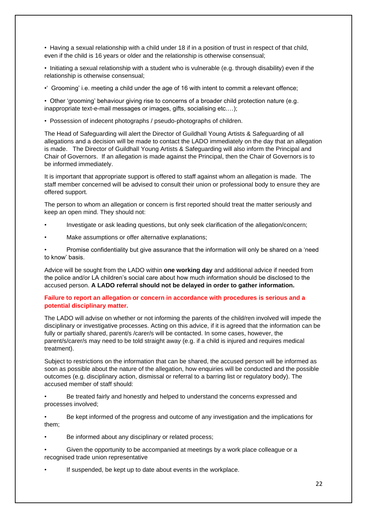• Having a sexual relationship with a child under 18 if in a position of trust in respect of that child, even if the child is 16 years or older and the relationship is otherwise consensual;

• Initiating a sexual relationship with a student who is vulnerable (e.g. through disability) even if the relationship is otherwise consensual;

•' Grooming' i.e. meeting a child under the age of 16 with intent to commit a relevant offence;

• Other 'grooming' behaviour giving rise to concerns of a broader child protection nature (e.g. inappropriate text-e-mail messages or images, gifts, socialising etc.…);

• Possession of indecent photographs / pseudo-photographs of children.

The Head of Safeguarding will alert the Director of Guildhall Young Artists & Safeguarding of all allegations and a decision will be made to contact the LADO immediately on the day that an allegation is made. The Director of Guildhall Young Artists & Safeguarding will also inform the Principal and Chair of Governors. If an allegation is made against the Principal, then the Chair of Governors is to be informed immediately.

It is important that appropriate support is offered to staff against whom an allegation is made. The staff member concerned will be advised to consult their union or professional body to ensure they are offered support.

The person to whom an allegation or concern is first reported should treat the matter seriously and keep an open mind. They should not:

- Investigate or ask leading questions, but only seek clarification of the allegation/concern;
- Make assumptions or offer alternative explanations;

• Promise confidentiality but give assurance that the information will only be shared on a 'need to know' basis.

Advice will be sought from the LADO within **one working day** and additional advice if needed from the police and/or LA children's social care about how much information should be disclosed to the accused person. **A LADO referral should not be delayed in order to gather information.**

# **Failure to report an allegation or concern in accordance with procedures is serious and a potential disciplinary matter.**

The LADO will advise on whether or not informing the parents of the child/ren involved will impede the disciplinary or investigative processes. Acting on this advice, if it is agreed that the information can be fully or partially shared, parent/s /carer/s will be contacted. In some cases, however, the parent/s/carer/s may need to be told straight away (e.g. if a child is injured and requires medical treatment).

Subject to restrictions on the information that can be shared, the accused person will be informed as soon as possible about the nature of the allegation, how enquiries will be conducted and the possible outcomes (e.g. disciplinary action, dismissal or referral to a barring list or regulatory body). The accused member of staff should:

• Be treated fairly and honestly and helped to understand the concerns expressed and processes involved;

• Be kept informed of the progress and outcome of any investigation and the implications for them;

- Be informed about any disciplinary or related process;
- Given the opportunity to be accompanied at meetings by a work place colleague or a recognised trade union representative
- If suspended, be kept up to date about events in the workplace.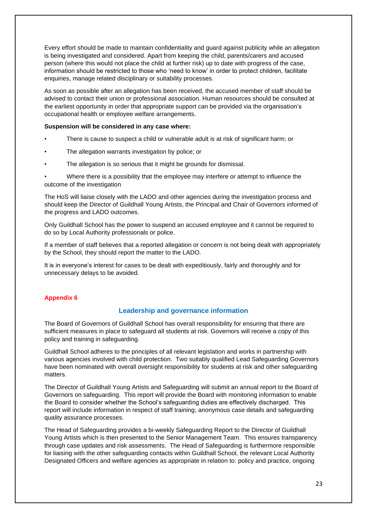Every effort should be made to maintain confidentiality and guard against publicity while an allegation is being investigated and considered. Apart from keeping the child, parents/carers and accused person (where this would not place the child at further risk) up to date with progress of the case, information should be restricted to those who 'need to know' in order to protect children, facilitate enquiries, manage related disciplinary or suitability processes.

As soon as possible after an allegation has been received, the accused member of staff should be advised to contact their union or professional association. Human resources should be consulted at the earliest opportunity in order that appropriate support can be provided via the organisation's occupational health or employee welfare arrangements.

#### **Suspension will be considered in any case where:**

- There is cause to suspect a child or vulnerable adult is at risk of significant harm; or
- The allegation warrants investigation by police; or
- The allegation is so serious that it might be grounds for dismissal.

• Where there is a possibility that the employee may interfere or attempt to influence the outcome of the investigation

The HoS will liaise closely with the LADO and other agencies during the investigation process and should keep the Director of Guildhall Young Artists, the Principal and Chair of Governors informed of the progress and LADO outcomes.

Only Guildhall School has the power to suspend an accused employee and it cannot be required to do so by Local Authority professionals or police.

If a member of staff believes that a reported allegation or concern is not being dealt with appropriately by the School, they should report the matter to the LADO.

It is in everyone's interest for cases to be dealt with expeditiously, fairly and thoroughly and for unnecessary delays to be avoided.

#### **Appendix 6**

# **Leadership and governance information**

The Board of Governors of Guildhall School has overall responsibility for ensuring that there are sufficient measures in place to safeguard all students at risk. Governors will receive a copy of this policy and training in safeguarding.

Guildhall School adheres to the principles of all relevant legislation and works in partnership with various agencies involved with child protection. Two suitably qualified Lead Safeguarding Governors have been nominated with overall oversight responsibility for students at risk and other safeguarding matters.

The Director of Guildhall Young Artists and Safeguarding will submit an annual report to the Board of Governors on safeguarding. This report will provide the Board with monitoring information to enable the Board to consider whether the School's safeguarding duties are effectively discharged. This report will include information in respect of staff training; anonymous case details and safeguarding quality assurance processes.

The Head of Safeguarding provides a bi-weekly Safeguarding Report to the Director of Guildhall Young Artists which is then presented to the Senior Management Team. This ensures transparency through case updates and risk assessments. The Head of Safeguarding is furthermore responsible for liaising with the other safeguarding contacts within Guildhall School, the relevant Local Authority Designated Officers and welfare agencies as appropriate in relation to: policy and practice, ongoing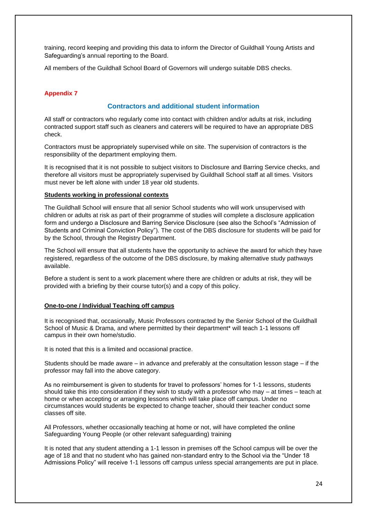training, record keeping and providing this data to inform the Director of Guildhall Young Artists and Safeguarding's annual reporting to the Board.

All members of the Guildhall School Board of Governors will undergo suitable DBS checks.

# **Appendix 7**

# **Contractors and additional student information**

All staff or contractors who regularly come into contact with children and/or adults at risk, including contracted support staff such as cleaners and caterers will be required to have an appropriate DBS check.

Contractors must be appropriately supervised while on site. The supervision of contractors is the responsibility of the department employing them.

It is recognised that it is not possible to subject visitors to Disclosure and Barring Service checks, and therefore all visitors must be appropriately supervised by Guildhall School staff at all times. Visitors must never be left alone with under 18 year old students.

#### **Students working in professional contexts**

The Guildhall School will ensure that all senior School students who will work unsupervised with children or adults at risk as part of their programme of studies will complete a disclosure application form and undergo a Disclosure and Barring Service Disclosure (see also the School's "Admission of Students and Criminal Conviction Policy"). The cost of the DBS disclosure for students will be paid for by the School, through the Registry Department.

The School will ensure that all students have the opportunity to achieve the award for which they have registered, regardless of the outcome of the DBS disclosure, by making alternative study pathways available.

Before a student is sent to a work placement where there are children or adults at risk, they will be provided with a briefing by their course tutor(s) and a copy of this policy.

#### **One-to-one / Individual Teaching off campus**

It is recognised that, occasionally, Music Professors contracted by the Senior School of the Guildhall School of Music & Drama, and where permitted by their department\* will teach 1-1 lessons off campus in their own home/studio.

It is noted that this is a limited and occasional practice.

Students should be made aware – in advance and preferably at the consultation lesson stage – if the professor may fall into the above category.

As no reimbursement is given to students for travel to professors' homes for 1-1 lessons, students should take this into consideration if they wish to study with a professor who may – at times – teach at home or when accepting or arranging lessons which will take place off campus. Under no circumstances would students be expected to change teacher, should their teacher conduct some classes off site.

All Professors, whether occasionally teaching at home or not, will have completed the online Safeguarding Young People (or other relevant safeguarding) training

It is noted that any student attending a 1-1 lesson in premises off the School campus will be over the age of 18 and that no student who has gained non-standard entry to the School via the "Under 18 Admissions Policy" will receive 1-1 lessons off campus unless special arrangements are put in place.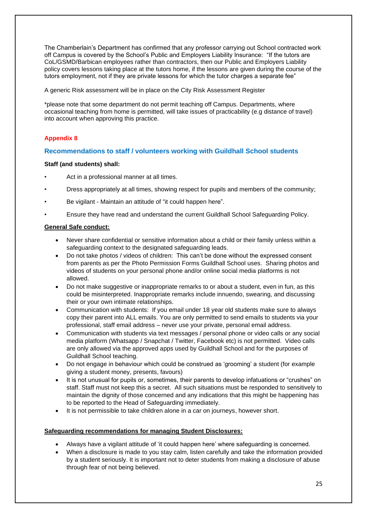The Chamberlain's Department has confirmed that any professor carrying out School contracted work off Campus is covered by the School's Public and Employers Liability Insurance: "If the tutors are CoL/GSMD/Barbican employees rather than contractors, then our Public and Employers Liability policy covers lessons taking place at the tutors home, if the lessons are given during the course of the tutors employment, not if they are private lessons for which the tutor charges a separate fee"

A generic Risk assessment will be in place on the City Risk Assessment Register

\*please note that some department do not permit teaching off Campus. Departments, where occasional teaching from home is permitted, will take issues of practicability (e.g distance of travel) into account when approving this practice.

# **Appendix 8**

# **Recommendations to staff / volunteers working with Guildhall School students**

# **Staff (and students) shall:**

- Act in a professional manner at all times.
- Dress appropriately at all times, showing respect for pupils and members of the community;
- Be vigilant Maintain an attitude of "it could happen here".
- Ensure they have read and understand the current Guildhall School Safeguarding Policy.

# **General Safe conduct:**

- Never share confidential or sensitive information about a child or their family unless within a safeguarding context to the designated safeguarding leads.
- Do not take photos / videos of children: This can't be done without the expressed consent from parents as per the Photo Permission Forms Guildhall School uses. Sharing photos and videos of students on your personal phone and/or online social media platforms is not allowed.
- Do not make suggestive or inappropriate remarks to or about a student, even in fun, as this could be misinterpreted. Inappropriate remarks include innuendo, swearing, and discussing their or your own intimate relationships.
- Communication with students: If you email under 18 year old students make sure to always copy their parent into ALL emails. You are only permitted to send emails to students via your professional, staff email address – never use your private, personal email address.
- Communication with students via text messages / personal phone or video calls or any social media platform (Whatsapp / Snapchat / Twitter, Facebook etc) is not permitted. Video calls are only allowed via the approved apps used by Guildhall School and for the purposes of Guildhall School teaching.
- Do not engage in behaviour which could be construed as 'grooming' a student (for example giving a student money, presents, favours)
- It is not unusual for pupils or, sometimes, their parents to develop infatuations or "crushes" on staff. Staff must not keep this a secret. All such situations must be responded to sensitively to maintain the dignity of those concerned and any indications that this might be happening has to be reported to the Head of Safeguarding immediately.
- It is not permissible to take children alone in a car on journeys, however short.

# **Safeguarding recommendations for managing Student Disclosures:**

- Always have a vigilant attitude of 'it could happen here' where safeguarding is concerned.
- When a disclosure is made to you stay calm, listen carefully and take the information provided by a student seriously. It is important not to deter students from making a disclosure of abuse through fear of not being believed.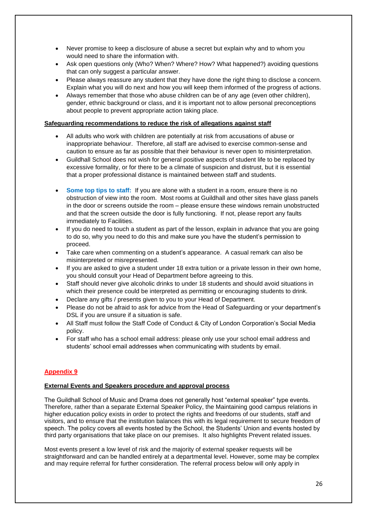- Never promise to keep a disclosure of abuse a secret but explain why and to whom you would need to share the information with.
- Ask open questions only (Who? When? Where? How? What happened?) avoiding questions that can only suggest a particular answer.
- Please always reassure any student that they have done the right thing to disclose a concern. Explain what you will do next and how you will keep them informed of the progress of actions.
- Always remember that those who abuse children can be of any age (even other children), gender, ethnic background or class, and it is important not to allow personal preconceptions about people to prevent appropriate action taking place.

### **Safeguarding recommendations to reduce the risk of allegations against staff**

- All adults who work with children are potentially at risk from accusations of abuse or inappropriate behaviour. Therefore, all staff are advised to exercise common-sense and caution to ensure as far as possible that their behaviour is never open to misinterpretation.
- Guildhall School does not wish for general positive aspects of student life to be replaced by excessive formality, or for there to be a climate of suspicion and distrust, but it is essential that a proper professional distance is maintained between staff and students.
- **Some top tips to staff:** If you are alone with a student in a room, ensure there is no obstruction of view into the room. Most rooms at Guildhall and other sites have glass panels in the door or screens outside the room – please ensure these windows remain unobstructed and that the screen outside the door is fully functioning. If not, please report any faults immediately to Facilities.
- If you do need to touch a student as part of the lesson, explain in advance that you are going to do so, why you need to do this and make sure you have the student's permission to proceed.
- Take care when commenting on a student's appearance. A casual remark can also be misinterpreted or misrepresented.
- If you are asked to give a student under 18 extra tuition or a private lesson in their own home, you should consult your Head of Department before agreeing to this.
- Staff should never give alcoholic drinks to under 18 students and should avoid situations in which their presence could be interpreted as permitting or encouraging students to drink.
- Declare any gifts / presents given to you to your Head of Department.
- Please do not be afraid to ask for advice from the Head of Safeguarding or your department's DSL if you are unsure if a situation is safe.
- All Staff must follow the Staff Code of Conduct & City of London Corporation's Social Media policy.
- For staff who has a school email address: please only use your school email address and students' school email addresses when communicating with students by email.

# **Appendix 9**

# **External Events and Speakers procedure and approval process**

The Guildhall School of Music and Drama does not generally host "external speaker" type events. Therefore, rather than a separate External Speaker Policy, the Maintaining good campus relations in higher education policy exists in order to protect the rights and freedoms of our students, staff and visitors, and to ensure that the institution balances this with its legal requirement to secure freedom of speech. The policy covers all events hosted by the School, the Students' Union and events hosted by third party organisations that take place on our premises. It also highlights Prevent related issues.

Most events present a low level of risk and the majority of external speaker requests will be straightforward and can be handled entirely at a departmental level. However, some may be complex and may require referral for further consideration. The referral process below will only apply in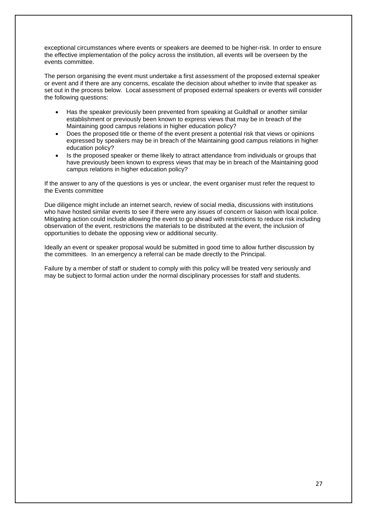exceptional circumstances where events or speakers are deemed to be higher-risk. In order to ensure the effective implementation of the policy across the institution, all events will be overseen by the events committee.

The person organising the event must undertake a first assessment of the proposed external speaker or event and if there are any concerns, escalate the decision about whether to invite that speaker as set out in the process below. Local assessment of proposed external speakers or events will consider the following questions:

- Has the speaker previously been prevented from speaking at Guildhall or another similar establishment or previously been known to express views that may be in breach of the Maintaining good campus relations in higher education policy?
- Does the proposed title or theme of the event present a potential risk that views or opinions expressed by speakers may be in breach of the Maintaining good campus relations in higher education policy?
- Is the proposed speaker or theme likely to attract attendance from individuals or groups that have previously been known to express views that may be in breach of the Maintaining good campus relations in higher education policy?

If the answer to any of the questions is yes or unclear, the event organiser must refer the request to the Events committee

Due diligence might include an internet search, review of social media, discussions with institutions who have hosted similar events to see if there were any issues of concern or liaison with local police. Mitigating action could include allowing the event to go ahead with restrictions to reduce risk including observation of the event, restrictions the materials to be distributed at the event, the inclusion of opportunities to debate the opposing view or additional security.

Ideally an event or speaker proposal would be submitted in good time to allow further discussion by the committees. In an emergency a referral can be made directly to the Principal.

Failure by a member of staff or student to comply with this policy will be treated very seriously and may be subject to formal action under the normal disciplinary processes for staff and students.